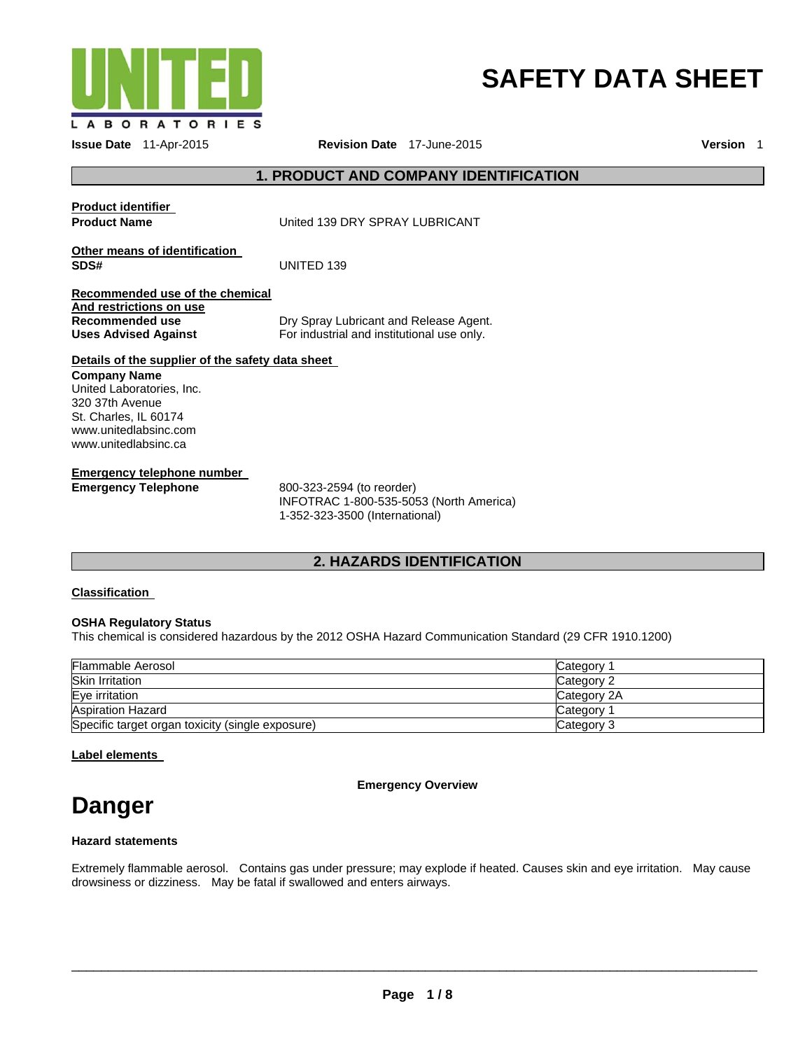

# **SAFETY DATA SHEET**

**Issue Date** 11-Apr-2015 **Revision Date** 17-June-2015 **Version** 1

# **1. PRODUCT AND COMPANY IDENTIFICATION**

**Product identifier** 

**Product Name United 139 DRY SPRAY LUBRICANT** 

**Other means of identification SDS#** UNITED 139

#### **Recommended use of the chemical And restrictions on use Recommended use Uses Advised Against**

Dry Spray Lubricant and Release Agent. For industrial and institutional use only.

#### **Details of the supplier of the safety data sheet Company Name**

United Laboratories, Inc. 320 37th Avenue St. Charles, IL 60174 www.unitedlabsinc.com www.unitedlabsinc.ca

**Emergency telephone number** 

**Emergency Telephone** 800-323-2594 (to reorder) INFOTRAC 1-800-535-5053 (North America) 1-352-323-3500 (International)

# **2. HAZARDS IDENTIFICATION**

# **Classification**

# **OSHA Regulatory Status**

This chemical is considered hazardous by the 2012 OSHA Hazard Communication Standard (29 CFR 1910.1200)

| Flammable Aerosol                                | Category 1  |
|--------------------------------------------------|-------------|
| <b>Skin Irritation</b>                           | Category 2  |
| Eye irritation                                   | Category 2A |
| <b>Aspiration Hazard</b>                         | Category 1  |
| Specific target organ toxicity (single exposure) | Category 3  |

**Label elements** 

**Emergency Overview** 

# **Danger**

# **Hazard statements**

Extremely flammable aerosol. Contains gas under pressure; may explode if heated. Causes skin and eye irritation. May cause drowsiness or dizziness. May be fatal if swallowed and enters airways.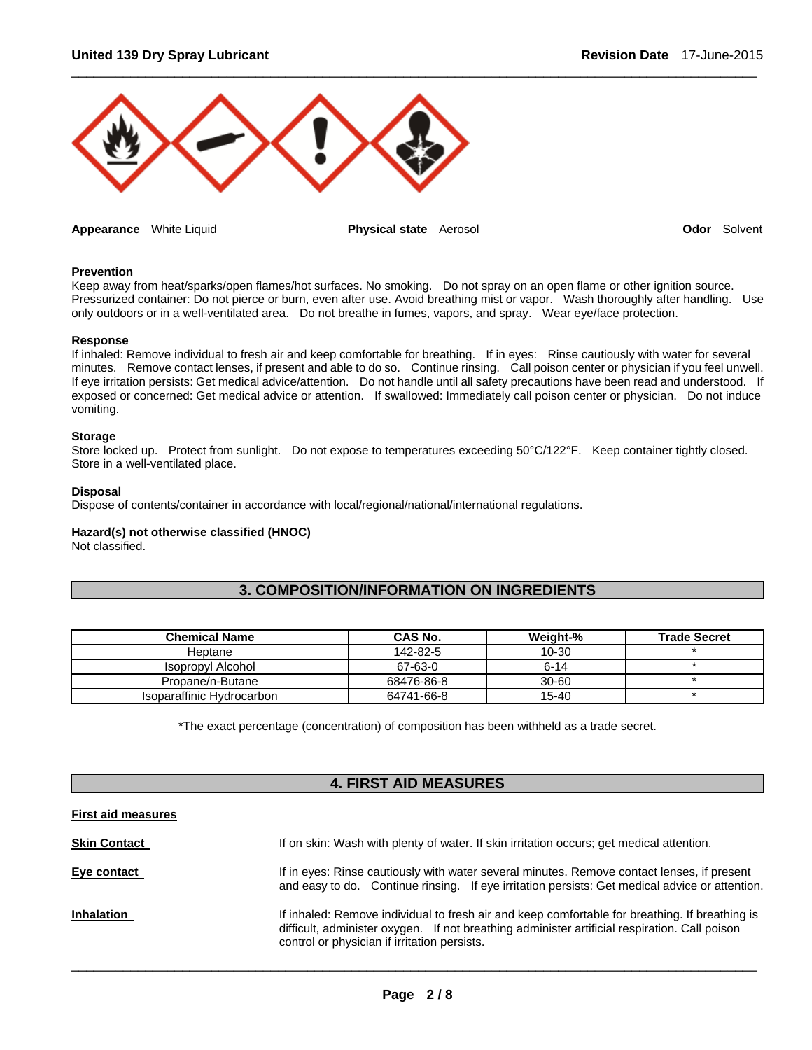

**Appearance** White Liquid **Physical state** Aerosol **Odor** Solvent

#### **Prevention**

Keep away from heat/sparks/open flames/hot surfaces. No smoking. Do not spray on an open flame or other ignition source. Pressurized container: Do not pierce or burn, even after use. Avoid breathing mist or vapor. Wash thoroughly after handling. Use only outdoors or in a well-ventilated area. Do not breathe in fumes, vapors, and spray. Wear eye/face protection.

 $\Box$ 

#### **Response**

If inhaled: Remove individual to fresh air and keep comfortable for breathing. If in eyes: Rinse cautiously with water for several minutes. Remove contact lenses, if present and able to do so. Continue rinsing. Call poison center or physician if you feel unwell. If eye irritation persists: Get medical advice/attention. Do not handle until all safety precautions have been read and understood. If exposed or concerned: Get medical advice or attention. If swallowed: Immediately call poison center or physician. Do not induce vomiting.

#### **Storage**

Store locked up. Protect from sunlight. Do not expose to temperatures exceeding 50°C/122°F. Keep container tightly closed. Store in a well-ventilated place.

#### **Disposal**

Dispose of contents/container in accordance with local/regional/national/international regulations.

#### **Hazard(s) not otherwise classified (HNOC)**

Not classified.

# **3. COMPOSITION/INFORMATION ON INGREDIENTS**

| <b>Chemical Name</b>      | CAS No.    | Weight-%  | <b>Trade Secret</b> |
|---------------------------|------------|-----------|---------------------|
| Heptane                   | 142-82-5   | $10 - 30$ |                     |
| <b>Isopropyl Alcohol</b>  | 67-63-0    | $6 - 14$  |                     |
| Propane/n-Butane          | 68476-86-8 | $30 - 60$ |                     |
| Isoparaffinic Hydrocarbon | 64741-66-8 | $15 - 40$ |                     |

\*The exact percentage (concentration) of composition has been withheld as a trade secret.

# **4. FIRST AID MEASURES**

#### **First aid measures**

| <b>Skin Contact</b> | If on skin: Wash with plenty of water. If skin irritation occurs; get medical attention.                                                                                                                                                        |
|---------------------|-------------------------------------------------------------------------------------------------------------------------------------------------------------------------------------------------------------------------------------------------|
| Eye contact         | If in eyes: Rinse cautiously with water several minutes. Remove contact lenses, if present<br>and easy to do. Continue rinsing. If eye irritation persists: Get medical advice or attention.                                                    |
| <b>Inhalation</b>   | If inhaled: Remove individual to fresh air and keep comfortable for breathing. If breathing is<br>difficult, administer oxygen. If not breathing administer artificial respiration. Call poison<br>control or physician if irritation persists. |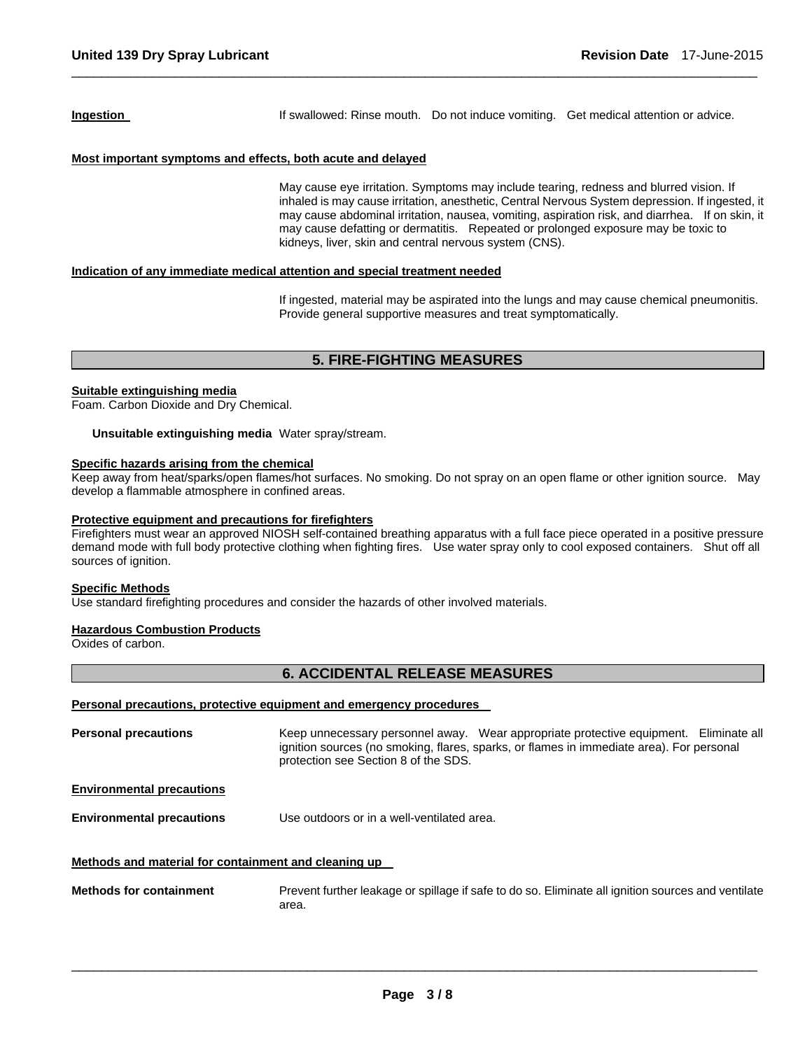**Ingestion If** swallowed: Rinse mouth. Do not induce vomiting. Get medical attention or advice.

# **Most important symptoms and effects, both acute and delayed**

May cause eye irritation. Symptoms may include tearing, redness and blurred vision. If inhaled is may cause irritation, anesthetic, Central Nervous System depression. If ingested, it may cause abdominal irritation, nausea, vomiting, aspiration risk, and diarrhea. If on skin, it may cause defatting or dermatitis. Repeated or prolonged exposure may be toxic to kidneys, liver, skin and central nervous system (CNS).

#### **Indication of any immediate medical attention and special treatment needed**

If ingested, material may be aspirated into the lungs and may cause chemical pneumonitis. Provide general supportive measures and treat symptomatically.

# **5. FIRE-FIGHTING MEASURES**

 $\Box$ 

#### **Suitable extinguishing media**

Foam. Carbon Dioxide and Dry Chemical.

**Unsuitable extinguishing media** Water spray/stream.

### **Specific hazards arising from the chemical**

Keep away from heat/sparks/open flames/hot surfaces. No smoking. Do not spray on an open flame or other ignition source. May develop a flammable atmosphere in confined areas.

#### **Protective equipment and precautions for firefighters**

Firefighters must wear an approved NIOSH self-contained breathing apparatus with a full face piece operated in a positive pressure demand mode with full body protective clothing when fighting fires. Use water spray only to cool exposed containers. Shut off all sources of ignition.

#### **Specific Methods**

Use standard firefighting procedures and consider the hazards of other involved materials.

#### **Hazardous Combustion Products**

Oxides of carbon.

# **6. ACCIDENTAL RELEASE MEASURES**

#### **Personal precautions, protective equipment and emergency procedures**

**Personal precautions Keep unnecessary personnel away.** Wear appropriate protective equipment. Eliminate all ignition sources (no smoking, flares, sparks, or flames in immediate area). For personal protection see Section 8 of the SDS. **Environmental precautions Environmental precautions** Use outdoors or in a well-ventilated area. **Methods and material for containment and cleaning up Methods for containment** Prevent further leakage or spillage if safe to do so. Eliminate all ignition sources and ventilate area.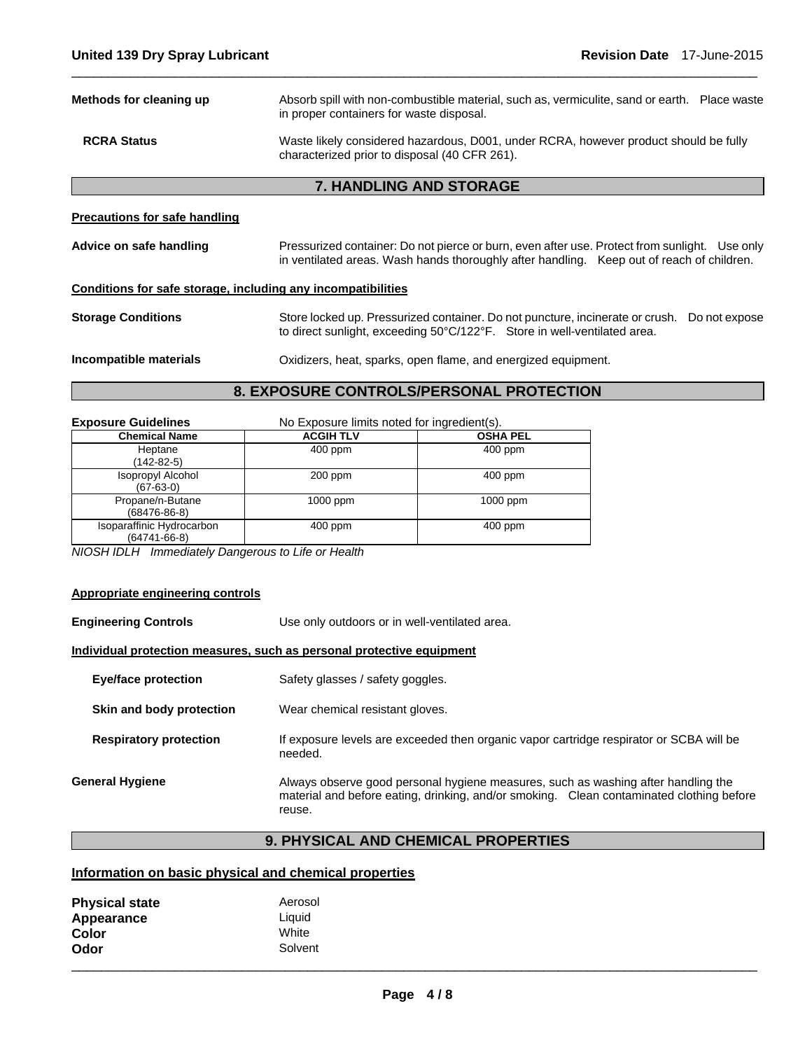| Methods for cleaning up                                      | Absorb spill with non-combustible material, such as, vermiculite, sand or earth. Place waste<br>in proper containers for waste disposal.                                                   |  |
|--------------------------------------------------------------|--------------------------------------------------------------------------------------------------------------------------------------------------------------------------------------------|--|
| <b>RCRA Status</b>                                           | Waste likely considered hazardous, D001, under RCRA, however product should be fully<br>characterized prior to disposal (40 CFR 261).                                                      |  |
|                                                              | <b>7. HANDLING AND STORAGE</b>                                                                                                                                                             |  |
| <b>Precautions for safe handling</b>                         |                                                                                                                                                                                            |  |
| Advice on safe handling                                      | Pressurized container: Do not pierce or burn, even after use. Protect from sunlight. Use only<br>in ventilated areas. Wash hands thoroughly after handling. Keep out of reach of children. |  |
| Conditions for safe storage, including any incompatibilities |                                                                                                                                                                                            |  |
| <b>Storage Conditions</b>                                    | Store locked up. Pressurized container. Do not puncture, incinerate or crush.<br>Do not expose<br>to direct sunlight, exceeding 50°C/122°F. Store in well-ventilated area.                 |  |
| Incompatible materials                                       | Oxidizers, heat, sparks, open flame, and energized equipment.                                                                                                                              |  |
| 8. EXPOSURE CONTROLS/PERSONAL PROTECTION                     |                                                                                                                                                                                            |  |

 $\Box$ 

| <b>Exposure Guidelines</b>                      | No Exposure limits noted for ingredient(s). |                 |
|-------------------------------------------------|---------------------------------------------|-----------------|
| <b>Chemical Name</b>                            | <b>ACGIH TLV</b>                            | <b>OSHA PEL</b> |
| Heptane<br>(142-82-5)                           | 400 ppm                                     | 400 ppm         |
| <b>Isopropyl Alcohol</b><br>$(67-63-0)$         | $200$ ppm                                   | $400$ ppm       |
| Propane/n-Butane<br>$(68476 - 86 - 8)$          | $1000$ ppm                                  | $1000$ ppm      |
| Isoparaffinic Hydrocarbon<br>$(64741 - 66 - 8)$ | $400$ ppm                                   | $400$ ppm       |

*NIOSH IDLH Immediately Dangerous to Life or Health* 

# **Appropriate engineering controls**

| <b>Engineering Controls</b>   | Use only outdoors or in well-ventilated area.                                                                                                                                           |
|-------------------------------|-----------------------------------------------------------------------------------------------------------------------------------------------------------------------------------------|
|                               | Individual protection measures, such as personal protective equipment                                                                                                                   |
| Eye/face protection           | Safety glasses / safety goggles.                                                                                                                                                        |
| Skin and body protection      | Wear chemical resistant gloves.                                                                                                                                                         |
| <b>Respiratory protection</b> | If exposure levels are exceeded then organic vapor cartridge respirator or SCBA will be<br>needed.                                                                                      |
| General Hygiene               | Always observe good personal hygiene measures, such as washing after handling the<br>material and before eating, drinking, and/or smoking. Clean contaminated clothing before<br>reuse. |

# **9. PHYSICAL AND CHEMICAL PROPERTIES**

# **Information on basic physical and chemical properties**

| <b>Physical state</b> | Aerosol |
|-----------------------|---------|
| Appearance            | Liquid  |
| Color                 | White   |
| Odor                  | Solvent |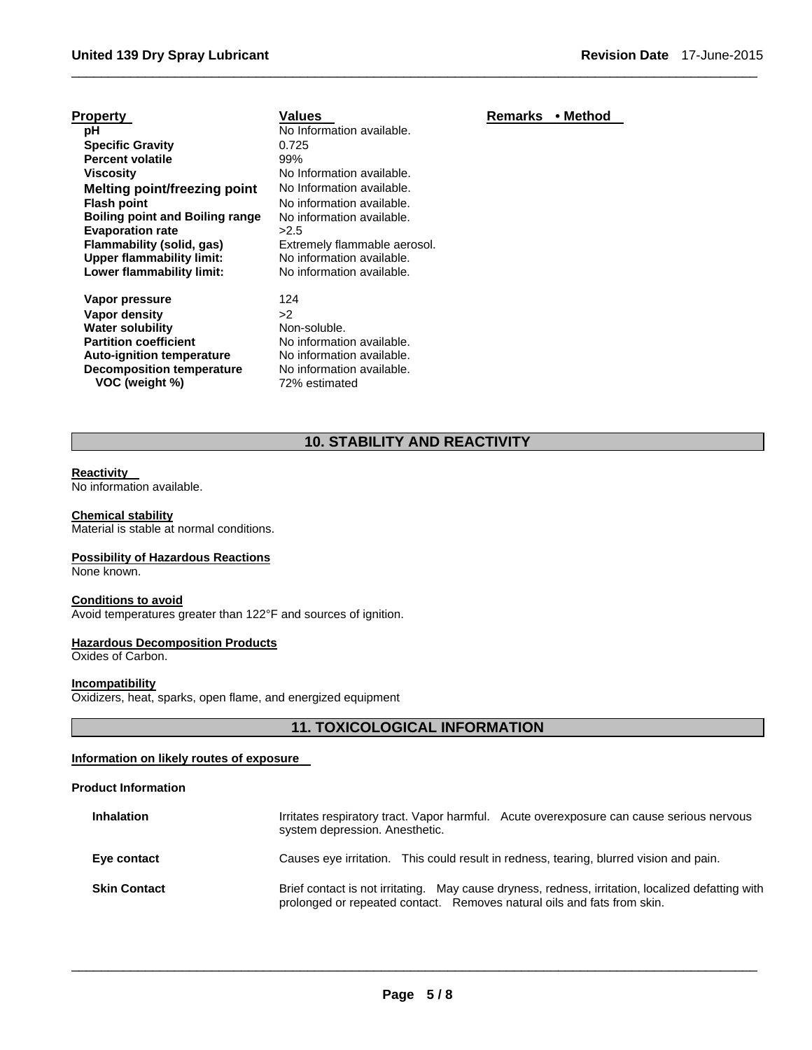| <b>Property</b>                        | Values                       | Remarks | • Method |
|----------------------------------------|------------------------------|---------|----------|
| рH                                     | No Information available.    |         |          |
| <b>Specific Gravity</b>                | 0.725                        |         |          |
| <b>Percent volatile</b>                | 99%                          |         |          |
| <b>Viscosity</b>                       | No Information available.    |         |          |
| Melting point/freezing point           | No Information available.    |         |          |
| <b>Flash point</b>                     | No information available.    |         |          |
| <b>Boiling point and Boiling range</b> | No information available.    |         |          |
| <b>Evaporation rate</b>                | >2.5                         |         |          |
| Flammability (solid, gas)              | Extremely flammable aerosol. |         |          |
| <b>Upper flammability limit:</b>       | No information available.    |         |          |
| Lower flammability limit:              | No information available.    |         |          |
| Vapor pressure                         | 124                          |         |          |
| Vapor density                          | >2                           |         |          |
| <b>Water solubility</b>                | Non-soluble.                 |         |          |
| <b>Partition coefficient</b>           | No information available.    |         |          |
| <b>Auto-ignition temperature</b>       | No information available.    |         |          |
| <b>Decomposition temperature</b>       | No information available.    |         |          |
| VOC (weight %)                         | 72% estimated                |         |          |

# **10. STABILITY AND REACTIVITY**

 $\Box$ 

#### **Reactivity**

No information available.

#### **Chemical stability**

Material is stable at normal conditions.

#### **Possibility of Hazardous Reactions**

None known.

#### **Conditions to avoid**

Avoid temperatures greater than 122°F and sources of ignition.

#### **Hazardous Decomposition Products**

Oxides of Carbon.

#### **Incompatibility**

Oxidizers, heat, sparks, open flame, and energized equipment

# **11. TOXICOLOGICAL INFORMATION**

# **Information on likely routes of exposure**

#### **Product Information**

| <b>Inhalation</b>   | Irritates respiratory tract. Vapor harmful. Acute overexposure can cause serious nervous<br>system depression. Anesthetic.                                                   |
|---------------------|------------------------------------------------------------------------------------------------------------------------------------------------------------------------------|
| Eye contact         | Causes eye irritation. This could result in redness, tearing, blurred vision and pain.                                                                                       |
| <b>Skin Contact</b> | Brief contact is not irritating. May cause dryness, redness, irritation, localized defatting with<br>prolonged or repeated contact. Removes natural oils and fats from skin. |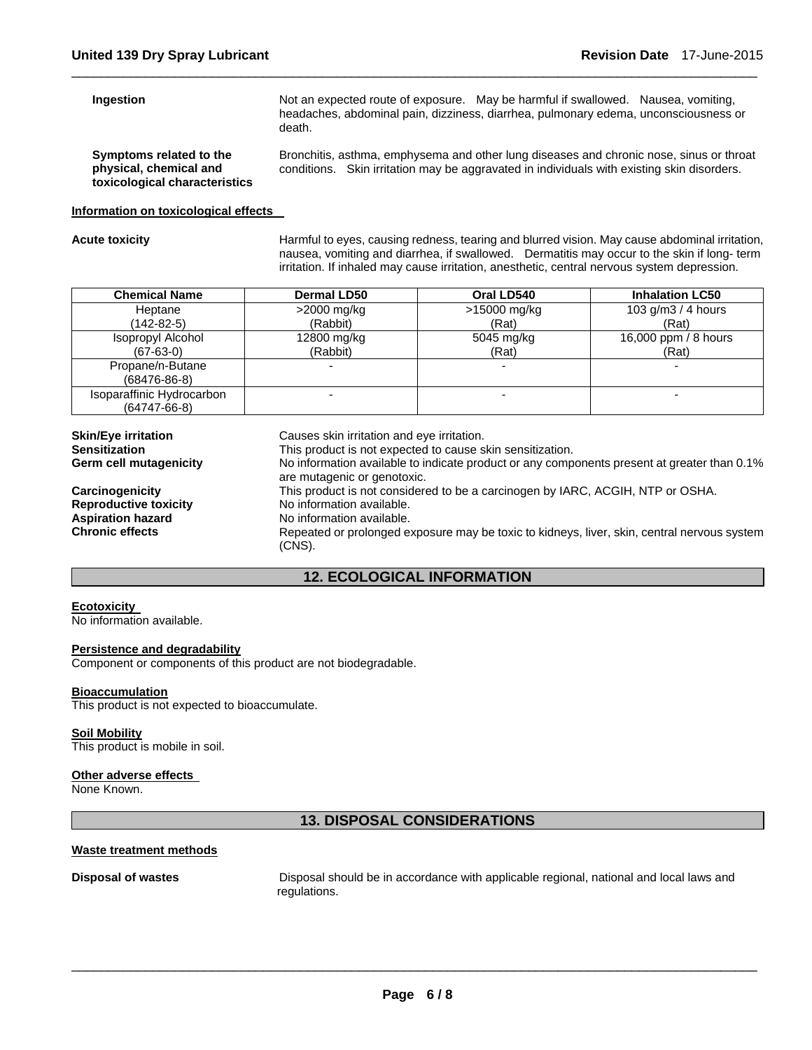#### **Ingestion**

Not an expected route of exposure. May be harmful if swallowed. Nausea, vomiting, headaches, abdominal pain, dizziness, diarrhea, pulmonary edema, unconsciousness or death.

**Symptoms related to the physical, chemical and toxicological characteristics**  Bronchitis, asthma, emphysema and other lung diseases and chronic nose, sinus or throat conditions. Skin irritation may be aggravated in individuals with existing skin disorders.

#### **Information on toxicological effects**

Acute toxicity **Acute toxicity Harmful to eyes, causing redness, tearing and blurred vision. May cause abdominal irritation,** nausea, vomiting and diarrhea, if swallowed. Dermatitis may occur to the skin if long- term irritation. If inhaled may cause irritation, anesthetic, central nervous system depression.

| <b>Chemical Name</b>      | <b>Dermal LD50</b> | Oral LD540   | <b>Inhalation LC50</b> |
|---------------------------|--------------------|--------------|------------------------|
| Heptane                   | >2000 mg/kg        | >15000 mg/kg | 103 g/m $3/4$ hours    |
| (142-82-5)                | (Rabbit)           | (Rat)        | (Rat)                  |
| Isopropyl Alcohol         | 12800 mg/kg        | 5045 mg/kg   | 16,000 ppm / 8 hours   |
| $(67-63-0)$               | (Rabbit)           | (Rat)        | (Rat)                  |
| Propane/n-Butane          |                    |              |                        |
| $(68476-86-8)$            |                    |              |                        |
| Isoparaffinic Hydrocarbon |                    |              |                        |
| $(64747-66-8)$            |                    |              |                        |

 $\Box$ 

| <b>Skin/Eye irritation</b><br><b>Sensitization</b><br><b>Germ cell mutagenicity</b>                   | Causes skin irritation and eye irritation.<br>This product is not expected to cause skin sensitization.<br>No information available to indicate product or any components present at greater than 0.1%<br>are mutagenic or genotoxic.             |
|-------------------------------------------------------------------------------------------------------|---------------------------------------------------------------------------------------------------------------------------------------------------------------------------------------------------------------------------------------------------|
| Carcinogenicity<br><b>Reproductive toxicity</b><br><b>Aspiration hazard</b><br><b>Chronic effects</b> | This product is not considered to be a carcinogen by IARC, ACGIH, NTP or OSHA.<br>No information available.<br>No information available.<br>Repeated or prolonged exposure may be toxic to kidneys, liver, skin, central nervous system<br>(CNS). |

# **12. ECOLOGICAL INFORMATION**

#### **Ecotoxicity**

No information available.

#### **Persistence and degradability**

Component or components of this product are not biodegradable.

#### **Bioaccumulation**

This product is not expected to bioaccumulate.

#### **Soil Mobility**

This product is mobile in soil.

#### **Other adverse effects**

None Known.

# **13. DISPOSAL CONSIDERATIONS**

#### **Waste treatment methods**

**Disposal of wastes Disposal should be in accordance with applicable regional, national and local laws and <b>Disposal** should be in accordance with applicable regional, national and local laws and regulations.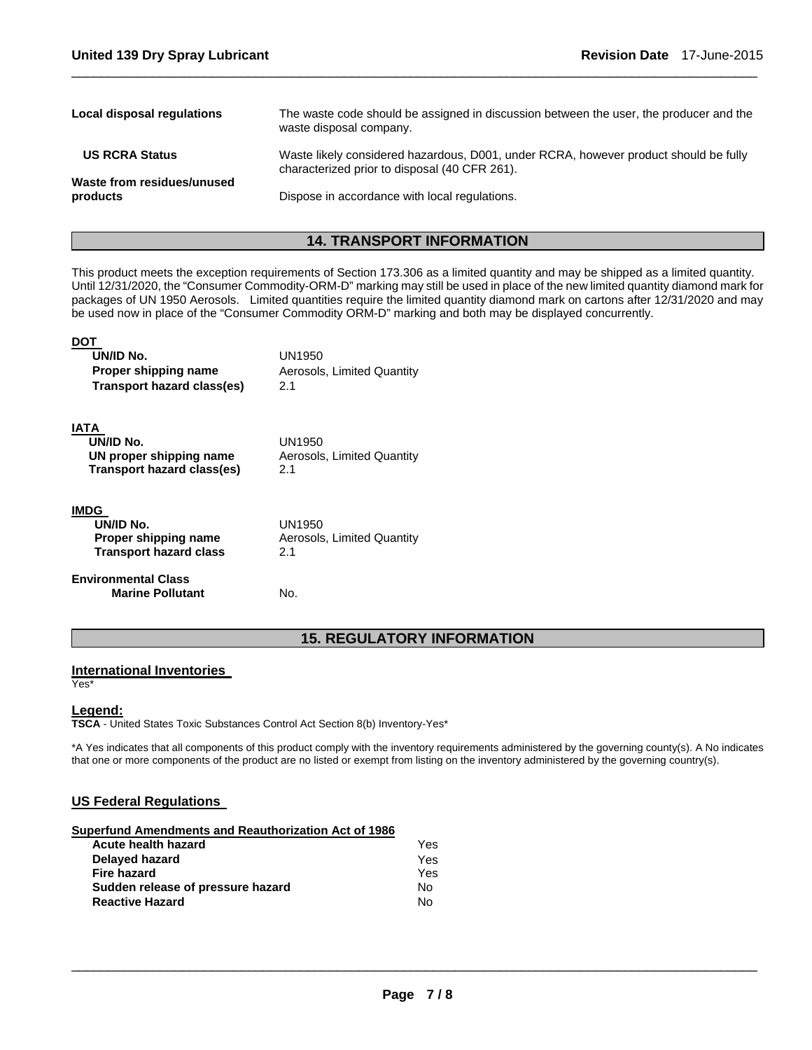| Local disposal regulations             | The waste code should be assigned in discussion between the user, the producer and the<br>waste disposal company.                     |
|----------------------------------------|---------------------------------------------------------------------------------------------------------------------------------------|
| <b>US RCRA Status</b>                  | Waste likely considered hazardous, D001, under RCRA, however product should be fully<br>characterized prior to disposal (40 CFR 261). |
| Waste from residues/unused<br>products | Dispose in accordance with local regulations.                                                                                         |

 $\Box$ 

# **14. TRANSPORT INFORMATION**

This product meets the exception requirements of Section 173.306 as a limited quantity and may be shipped as a limited quantity. Until 12/31/2020, the "Consumer Commodity-ORM-D" marking may still be used in place of the new limited quantity diamond mark for packages of UN 1950 Aerosols. Limited quantities require the limited quantity diamond mark on cartons after 12/31/2020 and may be used now in place of the "Consumer Commodity ORM-D" marking and both may be displayed concurrently.

| UN/ID No.<br>Proper shipping name<br>Transport hazard class(es)                   | UN1950<br>Aerosols, Limited Quantity<br>21  |
|-----------------------------------------------------------------------------------|---------------------------------------------|
| IATA<br>UN/ID No.<br>UN proper shipping name<br><b>Transport hazard class(es)</b> | UN1950<br>Aerosols, Limited Quantity<br>2.1 |
| <b>IMDG</b><br>UN/ID No.<br>Proper shipping name<br><b>Transport hazard class</b> | UN1950<br>Aerosols, Limited Quantity<br>2.1 |
| <b>Environmental Class</b><br><b>Marine Pollutant</b>                             | No.                                         |

# **15. REGULATORY INFORMATION**

### **International Inventories**

Yes\*

### **Legend:**

**TSCA** - United States Toxic Substances Control Act Section 8(b) Inventory-Yes\*

\*A Yes indicates that all components of this product comply with the inventory requirements administered by the governing county(s). A No indicates that one or more components of the product are no listed or exempt from listing on the inventory administered by the governing country(s).

# **US Federal Regulations**

| Superfund Amendments and Reauthorization Act of 1986 |     |
|------------------------------------------------------|-----|
| Acute health hazard                                  | Yes |
| Delayed hazard                                       | Yes |
| <b>Fire hazard</b>                                   | Yes |
| Sudden release of pressure hazard                    | No. |
| <b>Reactive Hazard</b>                               | Nο  |